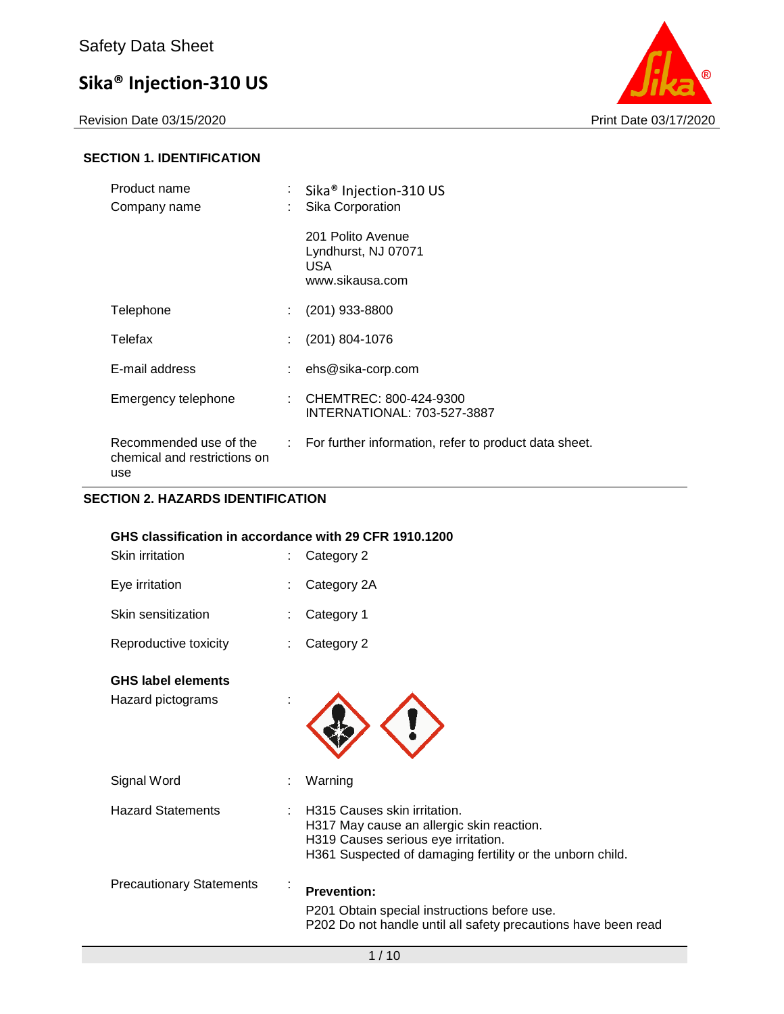Revision Date 03/15/2020 **Print Date 03/17/2020** 



### **SECTION 1. IDENTIFICATION**

| Product name<br>Company name                                  | ÷<br>÷ | Sika <sup>®</sup> Injection-310 US<br>Sika Corporation              |
|---------------------------------------------------------------|--------|---------------------------------------------------------------------|
|                                                               |        | 201 Polito Avenue<br>Lyndhurst, NJ 07071<br>USA.<br>www.sikausa.com |
| Telephone                                                     |        | $(201)$ 933-8800                                                    |
| Telefax                                                       |        | (201) 804-1076                                                      |
| E-mail address                                                |        | ehs@sika-corp.com                                                   |
| Emergency telephone                                           |        | : CHEMTREC: $800-424-9300$<br>INTERNATIONAL: 703-527-3887           |
| Recommended use of the<br>chemical and restrictions on<br>use |        | $\therefore$ For further information, refer to product data sheet.  |

### **SECTION 2. HAZARDS IDENTIFICATION**

| GHS classification in accordance with 29 CFR 1910.1200 |                                                                                                                                                                               |
|--------------------------------------------------------|-------------------------------------------------------------------------------------------------------------------------------------------------------------------------------|
| Skin irritation                                        | Category 2                                                                                                                                                                    |
| Eye irritation                                         | Category 2A                                                                                                                                                                   |
| Skin sensitization                                     | Category 1                                                                                                                                                                    |
| Reproductive toxicity                                  | Category 2                                                                                                                                                                    |
| <b>GHS label elements</b>                              |                                                                                                                                                                               |
| Hazard pictograms                                      |                                                                                                                                                                               |
| Signal Word                                            | Warning                                                                                                                                                                       |
| <b>Hazard Statements</b>                               | H315 Causes skin irritation.<br>H317 May cause an allergic skin reaction.<br>H319 Causes serious eye irritation.<br>H361 Suspected of damaging fertility or the unborn child. |
| <b>Precautionary Statements</b>                        | <b>Prevention:</b><br>P201 Obtain special instructions before use.<br>P202 Do not handle until all safety precautions have been read                                          |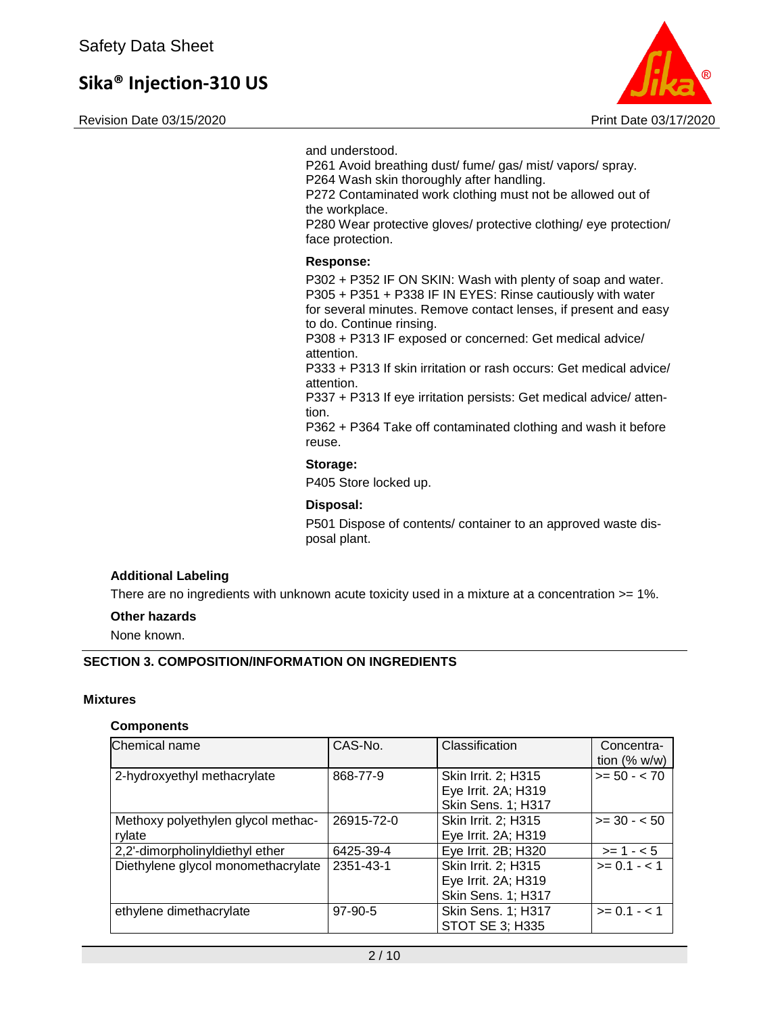Revision Date 03/15/2020 Print Date 03/17/2020



and understood.

P261 Avoid breathing dust/ fume/ gas/ mist/ vapors/ spray. P264 Wash skin thoroughly after handling.

P272 Contaminated work clothing must not be allowed out of the workplace.

P280 Wear protective gloves/ protective clothing/ eye protection/ face protection.

### **Response:**

P302 + P352 IF ON SKIN: Wash with plenty of soap and water. P305 + P351 + P338 IF IN EYES: Rinse cautiously with water for several minutes. Remove contact lenses, if present and easy to do. Continue rinsing.

P308 + P313 IF exposed or concerned: Get medical advice/ attention.

P333 + P313 If skin irritation or rash occurs: Get medical advice/ attention.

P337 + P313 If eye irritation persists: Get medical advice/ attention.

P362 + P364 Take off contaminated clothing and wash it before reuse.

### **Storage:**

P405 Store locked up.

### **Disposal:**

P501 Dispose of contents/ container to an approved waste disposal plant.

### **Additional Labeling**

There are no ingredients with unknown acute toxicity used in a mixture at a concentration  $>= 1\%$ .

### **Other hazards**

None known.

### **SECTION 3. COMPOSITION/INFORMATION ON INGREDIENTS**

### **Mixtures**

### **Components**

| Chemical name                      | CAS-No.    | Classification            | Concentra-     |
|------------------------------------|------------|---------------------------|----------------|
|                                    |            |                           | tion $(%$ w/w) |
| 2-hydroxyethyl methacrylate        | 868-77-9   | Skin Irrit. 2; H315       | $>= 50 - < 70$ |
|                                    |            | Eye Irrit. 2A; H319       |                |
|                                    |            | <b>Skin Sens. 1; H317</b> |                |
| Methoxy polyethylen glycol methac- | 26915-72-0 | Skin Irrit. 2; H315       | $>= 30 - 50$   |
| rylate                             |            | Eye Irrit. 2A; H319       |                |
| 2,2'-dimorpholinyIdiethyI ether    | 6425-39-4  | Eye Irrit. 2B; H320       | $>= 1 - 5$     |
| Diethylene glycol monomethacrylate | 2351-43-1  | Skin Irrit. 2; H315       | $>= 0.1 - 1$   |
|                                    |            | Eye Irrit. 2A; H319       |                |
|                                    |            | <b>Skin Sens. 1; H317</b> |                |
| ethylene dimethacrylate            | 97-90-5    | <b>Skin Sens. 1; H317</b> | $>= 0.1 - 1.1$ |
|                                    |            | STOT SE 3; H335           |                |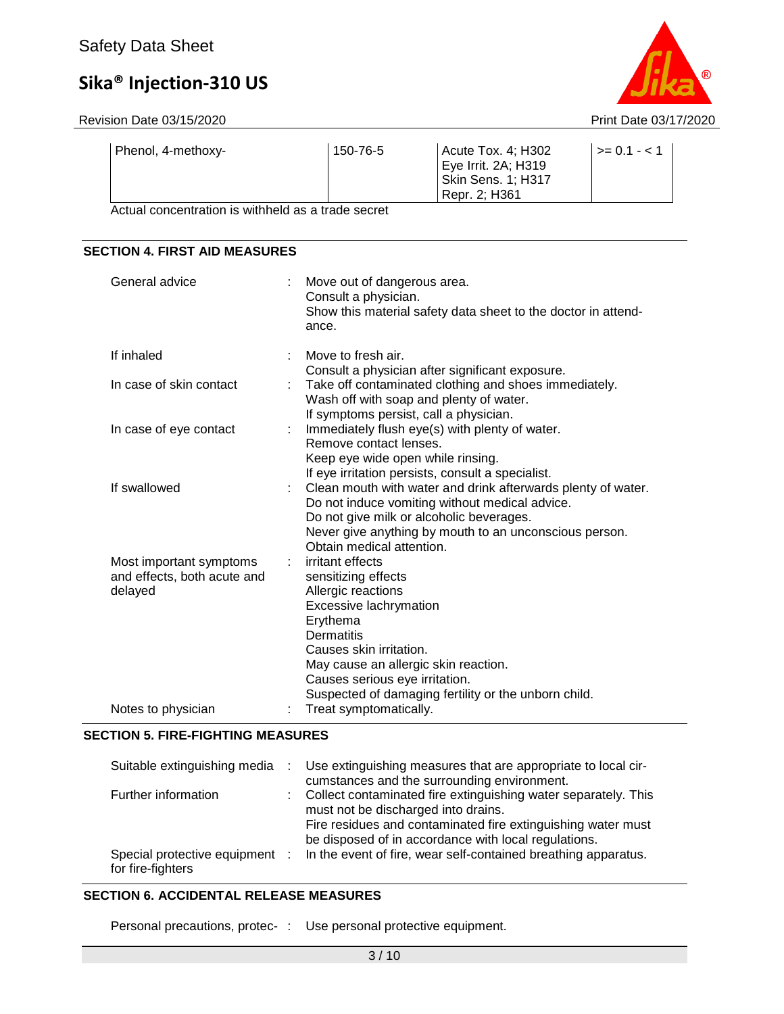Revision Date 03/15/2020 **Print Date 03/17/2020** 



| Phenol, 4-methoxy- | 150-76-5 | Acute Tox. 4; H302  | $\vert$ >= 0.1 - < 1 |
|--------------------|----------|---------------------|----------------------|
|                    |          | Eye Irrit. 2A; H319 |                      |
|                    |          | Skin Sens. 1; H317  |                      |
|                    |          | Repr. 2: H361       |                      |

Actual concentration is withheld as a trade secret

### **SECTION 4. FIRST AID MEASURES**

| General advice                                                    |   | Move out of dangerous area.<br>Consult a physician.<br>Show this material safety data sheet to the doctor in attend-<br>ance.                                                                                                                                                  |
|-------------------------------------------------------------------|---|--------------------------------------------------------------------------------------------------------------------------------------------------------------------------------------------------------------------------------------------------------------------------------|
| If inhaled                                                        |   | Move to fresh air.<br>Consult a physician after significant exposure.                                                                                                                                                                                                          |
| In case of skin contact                                           | ÷ | Take off contaminated clothing and shoes immediately.<br>Wash off with soap and plenty of water.<br>If symptoms persist, call a physician.                                                                                                                                     |
| In case of eye contact                                            |   | Immediately flush eye(s) with plenty of water.<br>Remove contact lenses.<br>Keep eye wide open while rinsing.<br>If eye irritation persists, consult a specialist.                                                                                                             |
| If swallowed                                                      |   | Clean mouth with water and drink afterwards plenty of water.<br>Do not induce vomiting without medical advice.<br>Do not give milk or alcoholic beverages.<br>Never give anything by mouth to an unconscious person.<br>Obtain medical attention.                              |
| Most important symptoms<br>and effects, both acute and<br>delayed |   | irritant effects<br>sensitizing effects<br>Allergic reactions<br>Excessive lachrymation<br>Erythema<br>Dermatitis<br>Causes skin irritation.<br>May cause an allergic skin reaction.<br>Causes serious eye irritation.<br>Suspected of damaging fertility or the unborn child. |
| Notes to physician                                                |   | Treat symptomatically.                                                                                                                                                                                                                                                         |

### **SECTION 5. FIRE-FIGHTING MEASURES**

| Suitable extinguishing media                        | Use extinguishing measures that are appropriate to local cir-<br>cumstances and the surrounding environment.                                                                                                                    |
|-----------------------------------------------------|---------------------------------------------------------------------------------------------------------------------------------------------------------------------------------------------------------------------------------|
| Further information                                 | : Collect contaminated fire extinguishing water separately. This<br>must not be discharged into drains.<br>Fire residues and contaminated fire extinguishing water must<br>be disposed of in accordance with local regulations. |
| Special protective equipment :<br>for fire-fighters | In the event of fire, wear self-contained breathing apparatus.                                                                                                                                                                  |

### **SECTION 6. ACCIDENTAL RELEASE MEASURES**

Personal precautions, protec- : Use personal protective equipment.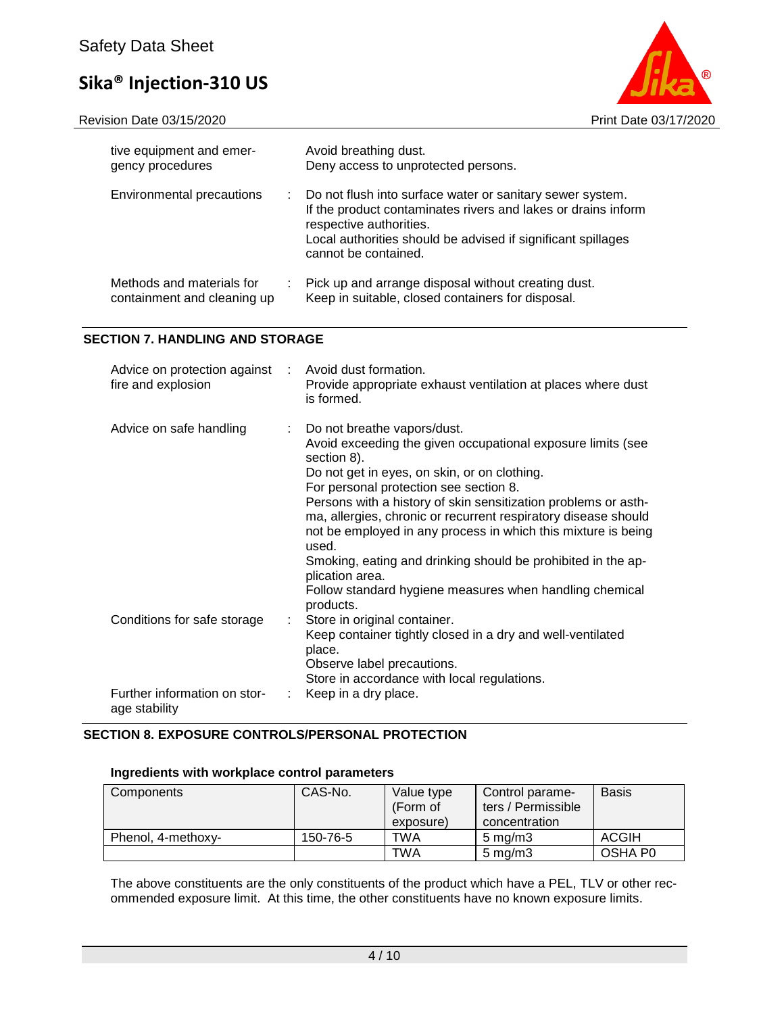Revision Date 03/15/2020 **Print Date 03/17/2020** 



| tive equipment and emer-<br>gency procedures                   | Avoid breathing dust.<br>Deny access to unprotected persons.                                                                                                                                                                                  |
|----------------------------------------------------------------|-----------------------------------------------------------------------------------------------------------------------------------------------------------------------------------------------------------------------------------------------|
| Environmental precautions<br>÷.                                | Do not flush into surface water or sanitary sewer system.<br>If the product contaminates rivers and lakes or drains inform<br>respective authorities.<br>Local authorities should be advised if significant spillages<br>cannot be contained. |
| Methods and materials for<br>÷.<br>containment and cleaning up | Pick up and arrange disposal without creating dust.<br>Keep in suitable, closed containers for disposal.                                                                                                                                      |

### **SECTION 7. HANDLING AND STORAGE**

| Advice on protection against : Avoid dust formation.<br>fire and explosion |    | Provide appropriate exhaust ventilation at places where dust<br>is formed.                                                                                                                                                                                                                                                                                                                                                                                                                                                                                                   |
|----------------------------------------------------------------------------|----|------------------------------------------------------------------------------------------------------------------------------------------------------------------------------------------------------------------------------------------------------------------------------------------------------------------------------------------------------------------------------------------------------------------------------------------------------------------------------------------------------------------------------------------------------------------------------|
| Advice on safe handling                                                    |    | Do not breathe vapors/dust.<br>Avoid exceeding the given occupational exposure limits (see<br>section 8).<br>Do not get in eyes, on skin, or on clothing.<br>For personal protection see section 8.<br>Persons with a history of skin sensitization problems or asth-<br>ma, allergies, chronic or recurrent respiratory disease should<br>not be employed in any process in which this mixture is being<br>used.<br>Smoking, eating and drinking should be prohibited in the ap-<br>plication area.<br>Follow standard hygiene measures when handling chemical<br>products. |
| Conditions for safe storage                                                | ÷. | Store in original container.<br>Keep container tightly closed in a dry and well-ventilated<br>place.<br>Observe label precautions.<br>Store in accordance with local regulations.                                                                                                                                                                                                                                                                                                                                                                                            |
| Further information on stor-<br>age stability                              |    | Keep in a dry place.                                                                                                                                                                                                                                                                                                                                                                                                                                                                                                                                                         |

### **SECTION 8. EXPOSURE CONTROLS/PERSONAL PROTECTION**

### **Ingredients with workplace control parameters**

| Components         | CAS-No.  | Value type<br>(Form of<br>exposure) | Control parame-<br>ters / Permissible<br>concentration | <b>Basis</b> |
|--------------------|----------|-------------------------------------|--------------------------------------------------------|--------------|
| Phenol, 4-methoxy- | 150-76-5 | TWA                                 | $5 \,\mathrm{mg/m}$                                    | <b>ACGIH</b> |
|                    |          | <b>TWA</b>                          | $5 \,\mathrm{mg/m}$                                    | OSHA P0      |

The above constituents are the only constituents of the product which have a PEL, TLV or other recommended exposure limit. At this time, the other constituents have no known exposure limits.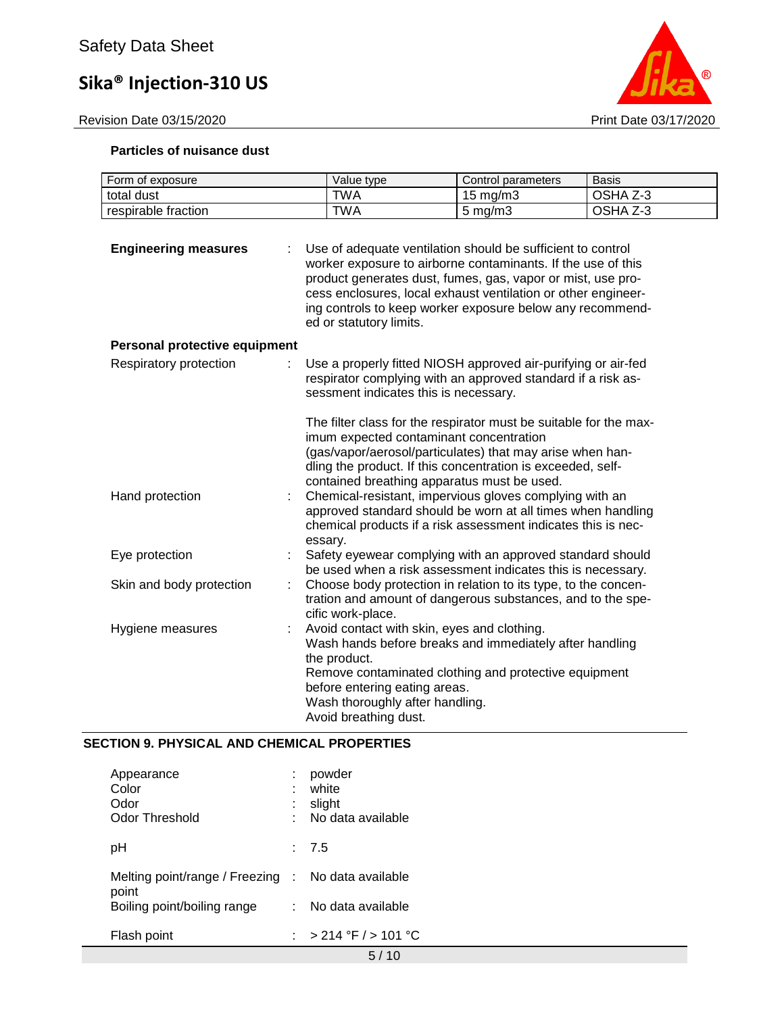

### **Particles of nuisance dust**

| Form of exposure              | Value type                                                                                                | Control parameters                                                                                                                                                                                                                                                                                                                                                                                            | <b>Basis</b> |
|-------------------------------|-----------------------------------------------------------------------------------------------------------|---------------------------------------------------------------------------------------------------------------------------------------------------------------------------------------------------------------------------------------------------------------------------------------------------------------------------------------------------------------------------------------------------------------|--------------|
| total dust                    | <b>TWA</b>                                                                                                | 15 mg/m3                                                                                                                                                                                                                                                                                                                                                                                                      | OSHA Z-3     |
| respirable fraction           | <b>TWA</b>                                                                                                | $5 \text{ mg/m}$ 3                                                                                                                                                                                                                                                                                                                                                                                            | OSHA Z-3     |
| <b>Engineering measures</b>   | ed or statutory limits.                                                                                   | Use of adequate ventilation should be sufficient to control<br>worker exposure to airborne contaminants. If the use of this<br>product generates dust, fumes, gas, vapor or mist, use pro-<br>cess enclosures, local exhaust ventilation or other engineer-<br>ing controls to keep worker exposure below any recommend-                                                                                      |              |
| Personal protective equipment |                                                                                                           |                                                                                                                                                                                                                                                                                                                                                                                                               |              |
| Respiratory protection        | sessment indicates this is necessary.                                                                     | Use a properly fitted NIOSH approved air-purifying or air-fed<br>respirator complying with an approved standard if a risk as-<br>The filter class for the respirator must be suitable for the max-                                                                                                                                                                                                            |              |
| Hand protection               | essary.                                                                                                   | imum expected contaminant concentration<br>(gas/vapor/aerosol/particulates) that may arise when han-<br>dling the product. If this concentration is exceeded, self-<br>contained breathing apparatus must be used.<br>Chemical-resistant, impervious gloves complying with an<br>approved standard should be worn at all times when handling<br>chemical products if a risk assessment indicates this is nec- |              |
| Eye protection                |                                                                                                           | Safety eyewear complying with an approved standard should<br>be used when a risk assessment indicates this is necessary.                                                                                                                                                                                                                                                                                      |              |
| Skin and body protection      | cific work-place.                                                                                         | Choose body protection in relation to its type, to the concen-<br>tration and amount of dangerous substances, and to the spe-                                                                                                                                                                                                                                                                                 |              |
| Hygiene measures              | the product.<br>before entering eating areas.<br>Wash thoroughly after handling.<br>Avoid breathing dust. | Avoid contact with skin, eyes and clothing.<br>Wash hands before breaks and immediately after handling<br>Remove contaminated clothing and protective equipment                                                                                                                                                                                                                                               |              |

### **SECTION 9. PHYSICAL AND CHEMICAL PROPERTIES**

| Appearance<br>Color<br>Odor<br>Odor Threshold               |    | powder<br>white<br>slight<br>No data available |
|-------------------------------------------------------------|----|------------------------------------------------|
| рH                                                          |    | : 7.5                                          |
| Melting point/range / Freezing : No data available<br>point |    |                                                |
| Boiling point/boiling range                                 | t. | No data available                              |
| Flash point                                                 |    | : > 214 °F / > 101 °C                          |
|                                                             |    | 57                                             |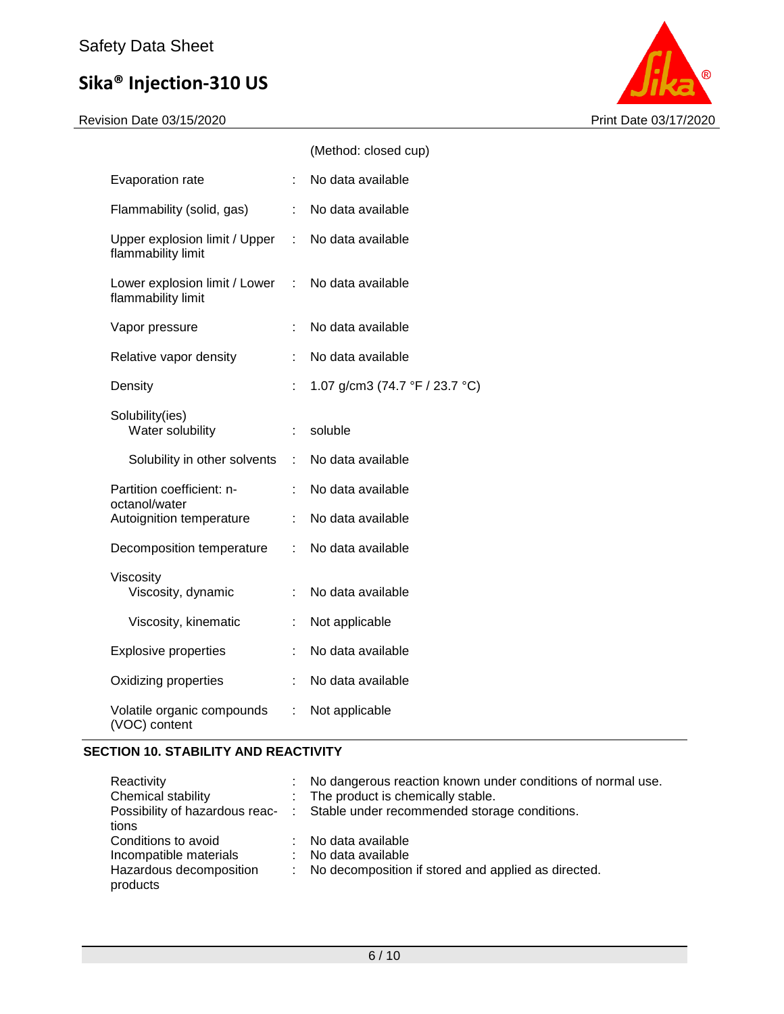Revision Date 03/15/2020 Print Date 03/17/2020



|                                                       |                       | (Method: closed cup)           |
|-------------------------------------------------------|-----------------------|--------------------------------|
| Evaporation rate                                      | ÷                     | No data available              |
| Flammability (solid, gas)                             | ÷                     | No data available              |
| Upper explosion limit / Upper :<br>flammability limit |                       | No data available              |
| Lower explosion limit / Lower<br>flammability limit   |                       | : No data available            |
| Vapor pressure                                        | t.                    | No data available              |
| Relative vapor density                                |                       | No data available              |
| Density                                               | t.                    | 1.07 g/cm3 (74.7 °F / 23.7 °C) |
| Solubility(ies)<br>Water solubility                   | t.                    | soluble                        |
| Solubility in other solvents                          | $\mathbb{Z}^{\times}$ | No data available              |
| Partition coefficient: n-                             | ÷                     | No data available              |
| octanol/water<br>Autoignition temperature             | ÷.                    | No data available              |
| Decomposition temperature                             | ÷.                    | No data available              |
| Viscosity<br>Viscosity, dynamic                       | ÷                     | No data available              |
| Viscosity, kinematic                                  | $\ddot{\cdot}$        | Not applicable                 |
| <b>Explosive properties</b>                           | ÷                     | No data available              |
| Oxidizing properties                                  | t.                    | No data available              |
| Volatile organic compounds<br>(VOC) content           | $\mathbb{Z}^{\times}$ | Not applicable                 |

### **SECTION 10. STABILITY AND REACTIVITY**

| Reactivity              | : No dangerous reaction known under conditions of normal use.                 |
|-------------------------|-------------------------------------------------------------------------------|
| Chemical stability      | : The product is chemically stable.                                           |
|                         | Possibility of hazardous reac- : Stable under recommended storage conditions. |
| tions                   |                                                                               |
| Conditions to avoid     | : No data available                                                           |
| Incompatible materials  | : No data available                                                           |
| Hazardous decomposition | : No decomposition if stored and applied as directed.                         |
| products                |                                                                               |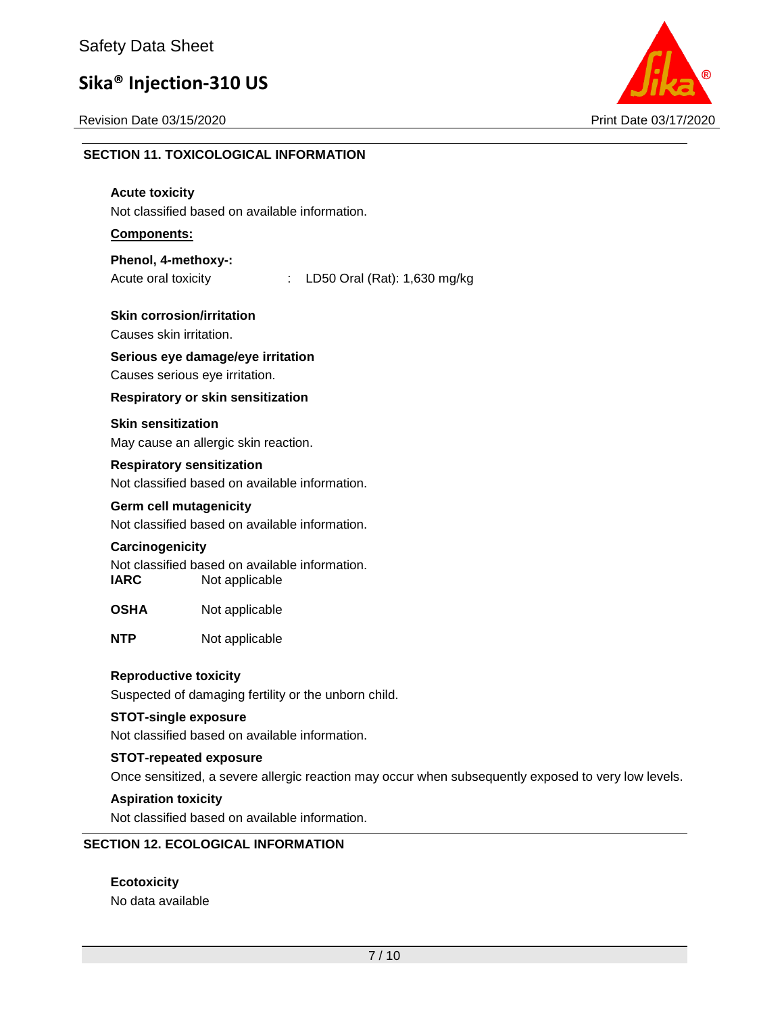Revision Date 03/15/2020 Print Date 03/17/2020



## **SECTION 11. TOXICOLOGICAL INFORMATION**

### **Acute toxicity** Not classified based on available information. **Components: Phenol, 4-methoxy-:** Acute oral toxicity : LD50 Oral (Rat): 1,630 mg/kg **Skin corrosion/irritation** Causes skin irritation. **Serious eye damage/eye irritation** Causes serious eye irritation. **Respiratory or skin sensitization Skin sensitization** May cause an allergic skin reaction. **Respiratory sensitization** Not classified based on available information. **Germ cell mutagenicity** Not classified based on available information. **Carcinogenicity** Not classified based on available information. **IARC** Not applicable **OSHA** Not applicable **NTP** Not applicable **Reproductive toxicity** Suspected of damaging fertility or the unborn child. **STOT-single exposure** Not classified based on available information. **STOT-repeated exposure** Once sensitized, a severe allergic reaction may occur when subsequently exposed to very low levels. **Aspiration toxicity** Not classified based on available information. **SECTION 12. ECOLOGICAL INFORMATION**

**Ecotoxicity** No data available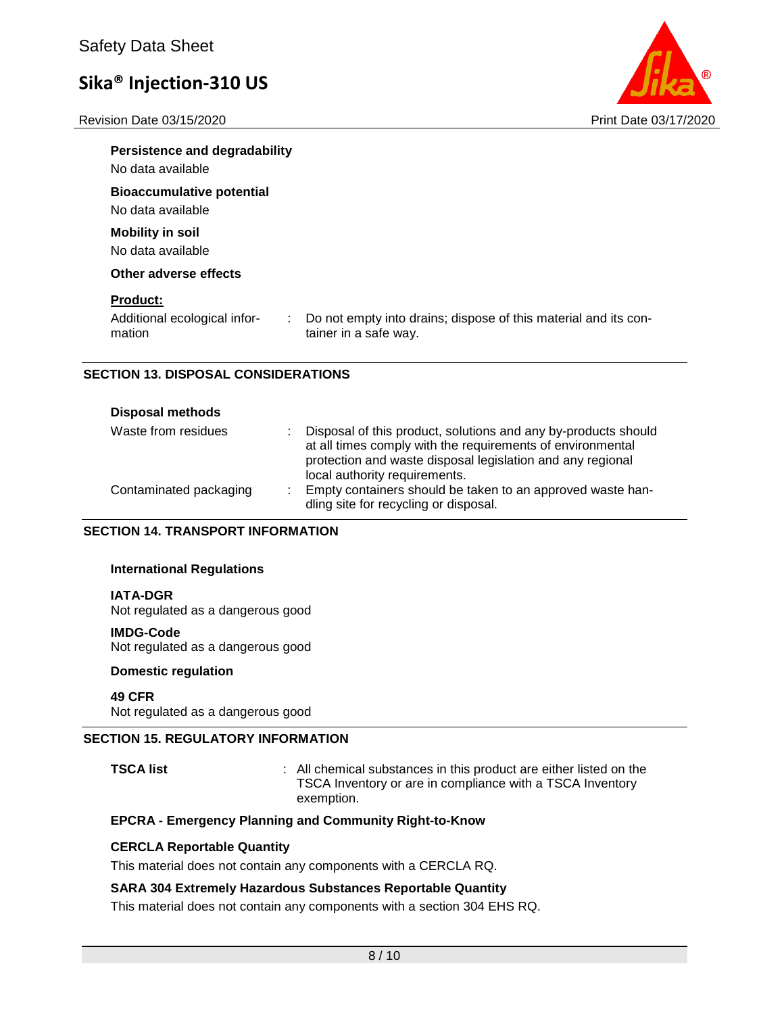Revision Date 03/15/2020 Print Date 03/17/2020



| <b>Persistence and degradability</b><br>No data available       |                                                                                          |
|-----------------------------------------------------------------|------------------------------------------------------------------------------------------|
| <b>Bioaccumulative potential</b><br>No data available           |                                                                                          |
| <b>Mobility in soil</b><br>No data available                    |                                                                                          |
| Other adverse effects                                           |                                                                                          |
| <b>Product:</b><br>Additional ecological infor-<br>÷.<br>mation | Do not empty into drains; dispose of this material and its con-<br>tainer in a safe way. |

### **SECTION 13. DISPOSAL CONSIDERATIONS**

| <b>Disposal methods</b> |    |                                                                                                                                                                                                                             |
|-------------------------|----|-----------------------------------------------------------------------------------------------------------------------------------------------------------------------------------------------------------------------------|
| Waste from residues     |    | Disposal of this product, solutions and any by-products should<br>at all times comply with the requirements of environmental<br>protection and waste disposal legislation and any regional<br>local authority requirements. |
| Contaminated packaging  | ÷. | Empty containers should be taken to an approved waste han-<br>dling site for recycling or disposal.                                                                                                                         |

### **SECTION 14. TRANSPORT INFORMATION**

### **International Regulations**

### **IATA-DGR**

Not regulated as a dangerous good

#### **IMDG-Code**

Not regulated as a dangerous good

### **Domestic regulation**

#### **49 CFR**

Not regulated as a dangerous good

### **SECTION 15. REGULATORY INFORMATION**

**TSCA list** : All chemical substances in this product are either listed on the TSCA Inventory or are in compliance with a TSCA Inventory exemption.

### **EPCRA - Emergency Planning and Community Right-to-Know**

### **CERCLA Reportable Quantity**

This material does not contain any components with a CERCLA RQ.

### **SARA 304 Extremely Hazardous Substances Reportable Quantity**

This material does not contain any components with a section 304 EHS RQ.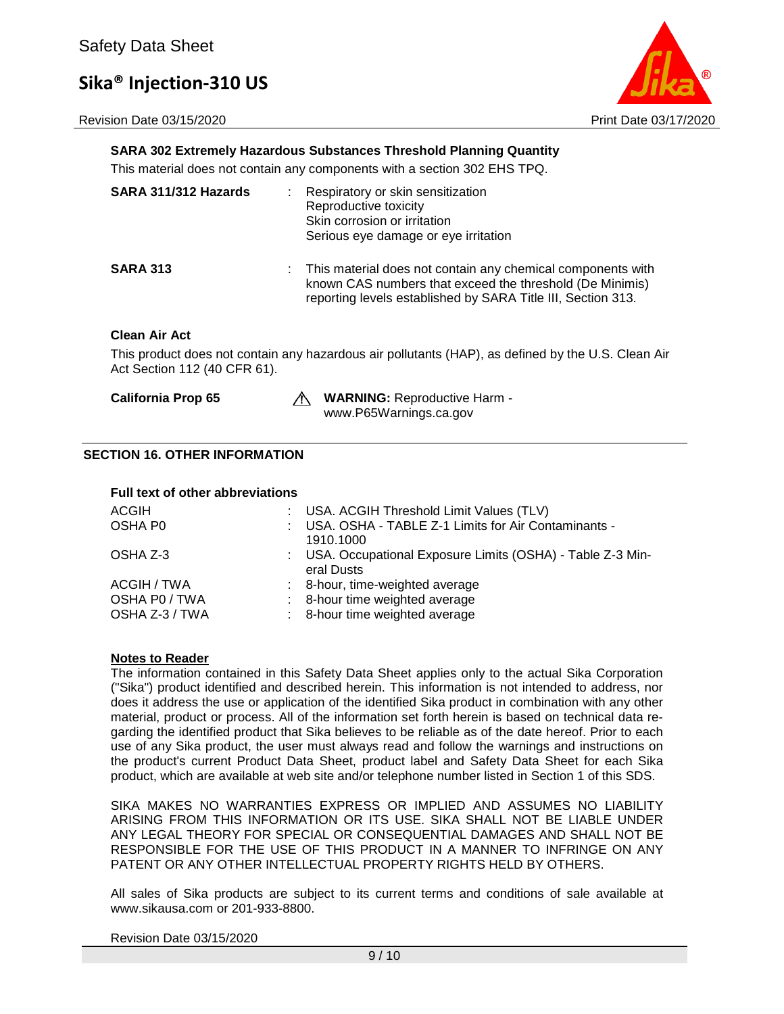Revision Date 03/15/2020 Print Date 03/17/2020



### **SARA 302 Extremely Hazardous Substances Threshold Planning Quantity**

This material does not contain any components with a section 302 EHS TPQ.

| SARA 311/312 Hazards | ÷ | Respiratory or skin sensitization<br>Reproductive toxicity<br>Skin corrosion or irritation<br>Serious eye damage or eye irritation                                                        |
|----------------------|---|-------------------------------------------------------------------------------------------------------------------------------------------------------------------------------------------|
| <b>SARA 313</b>      |   | : This material does not contain any chemical components with<br>known CAS numbers that exceed the threshold (De Minimis)<br>reporting levels established by SARA Title III, Section 313. |

### **Clean Air Act**

This product does not contain any hazardous air pollutants (HAP), as defined by the U.S. Clean Air Act Section 112 (40 CFR 61).

**California Prop 65 WARNING:** Reproductive Harm www.P65Warnings.ca.gov

### **SECTION 16. OTHER INFORMATION**

**Full text of other abbreviations**

| Full text of other appreviations |                                                                           |
|----------------------------------|---------------------------------------------------------------------------|
| ACGIH                            | : USA. ACGIH Threshold Limit Values (TLV)                                 |
| OSHA P0                          | : USA. OSHA - TABLE Z-1 Limits for Air Contaminants -<br>1910.1000        |
| OSHA Z-3                         | : USA. Occupational Exposure Limits (OSHA) - Table Z-3 Min-<br>eral Dusts |
| ACGIH / TWA                      | : 8-hour, time-weighted average                                           |
| OSHA P0 / TWA<br>OSHA Z-3 / TWA  | : 8-hour time weighted average<br>: 8-hour time weighted average          |
|                                  |                                                                           |

### **Notes to Reader**

The information contained in this Safety Data Sheet applies only to the actual Sika Corporation ("Sika") product identified and described herein. This information is not intended to address, nor does it address the use or application of the identified Sika product in combination with any other material, product or process. All of the information set forth herein is based on technical data regarding the identified product that Sika believes to be reliable as of the date hereof. Prior to each use of any Sika product, the user must always read and follow the warnings and instructions on the product's current Product Data Sheet, product label and Safety Data Sheet for each Sika product, which are available at web site and/or telephone number listed in Section 1 of this SDS.

SIKA MAKES NO WARRANTIES EXPRESS OR IMPLIED AND ASSUMES NO LIABILITY ARISING FROM THIS INFORMATION OR ITS USE. SIKA SHALL NOT BE LIABLE UNDER ANY LEGAL THEORY FOR SPECIAL OR CONSEQUENTIAL DAMAGES AND SHALL NOT BE RESPONSIBLE FOR THE USE OF THIS PRODUCT IN A MANNER TO INFRINGE ON ANY PATENT OR ANY OTHER INTELLECTUAL PROPERTY RIGHTS HELD BY OTHERS.

All sales of Sika products are subject to its current terms and conditions of sale available at www.sikausa.com or 201-933-8800.

Revision Date 03/15/2020